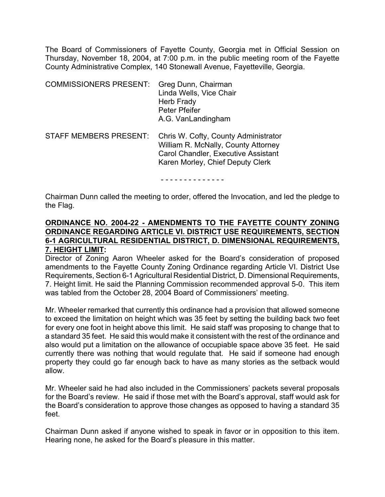The Board of Commissioners of Fayette County, Georgia met in Official Session on Thursday, November 18, 2004, at 7:00 p.m. in the public meeting room of the Fayette County Administrative Complex, 140 Stonewall Avenue, Fayetteville, Georgia.

| <b>COMMISSIONERS PRESENT:</b> | Greg Dunn, Chairman<br>Linda Wells, Vice Chair<br>Herb Frady<br>Peter Pfeifer<br>A.G. VanLandingham                                                           |
|-------------------------------|---------------------------------------------------------------------------------------------------------------------------------------------------------------|
| <b>STAFF MEMBERS PRESENT:</b> | Chris W. Cofty, County Administrator<br>William R. McNally, County Attorney<br><b>Carol Chandler, Executive Assistant</b><br>Karen Morley, Chief Deputy Clerk |

- - - - - - - - - - - - - -

Chairman Dunn called the meeting to order, offered the Invocation, and led the pledge to the Flag.

### **ORDINANCE NO. 2004-22 - AMENDMENTS TO THE FAYETTE COUNTY ZONING ORDINANCE REGARDING ARTICLE VI. DISTRICT USE REQUIREMENTS, SECTION 6-1 AGRICULTURAL RESIDENTIAL DISTRICT, D. DIMENSIONAL REQUIREMENTS, 7. HEIGHT LIMIT:**

Director of Zoning Aaron Wheeler asked for the Board's consideration of proposed amendments to the Fayette County Zoning Ordinance regarding Article VI. District Use Requirements, Section 6-1 Agricultural Residential District, D. Dimensional Requirements, 7. Height limit. He said the Planning Commission recommended approval 5-0. This item was tabled from the October 28, 2004 Board of Commissioners' meeting.

Mr. Wheeler remarked that currently this ordinance had a provision that allowed someone to exceed the limitation on height which was 35 feet by setting the building back two feet for every one foot in height above this limit. He said staff was proposing to change that to a standard 35 feet. He said this would make it consistent with the rest of the ordinance and also would put a limitation on the allowance of occupiable space above 35 feet. He said currently there was nothing that would regulate that. He said if someone had enough property they could go far enough back to have as many stories as the setback would allow.

Mr. Wheeler said he had also included in the Commissioners' packets several proposals for the Board's review. He said if those met with the Board's approval, staff would ask for the Board's consideration to approve those changes as opposed to having a standard 35 feet.

Chairman Dunn asked if anyone wished to speak in favor or in opposition to this item. Hearing none, he asked for the Board's pleasure in this matter.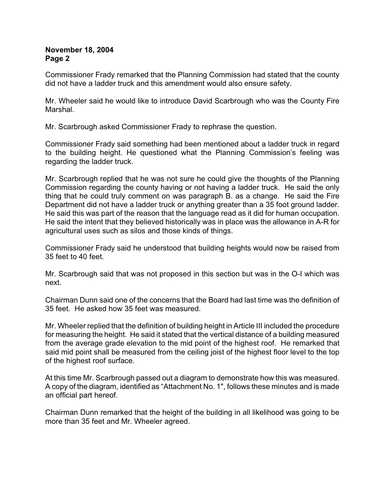Commissioner Frady remarked that the Planning Commission had stated that the county did not have a ladder truck and this amendment would also ensure safety.

Mr. Wheeler said he would like to introduce David Scarbrough who was the County Fire Marshal.

Mr. Scarbrough asked Commissioner Frady to rephrase the question.

Commissioner Frady said something had been mentioned about a ladder truck in regard to the building height. He questioned what the Planning Commission's feeling was regarding the ladder truck.

Mr. Scarbrough replied that he was not sure he could give the thoughts of the Planning Commission regarding the county having or not having a ladder truck. He said the only thing that he could truly comment on was paragraph B. as a change. He said the Fire Department did not have a ladder truck or anything greater than a 35 foot ground ladder. He said this was part of the reason that the language read as it did for human occupation. He said the intent that they believed historically was in place was the allowance in A-R for agricultural uses such as silos and those kinds of things.

Commissioner Frady said he understood that building heights would now be raised from 35 feet to 40 feet.

Mr. Scarbrough said that was not proposed in this section but was in the O-I which was next.

Chairman Dunn said one of the concerns that the Board had last time was the definition of 35 feet. He asked how 35 feet was measured.

Mr. Wheeler replied that the definition of building height in Article III included the procedure for measuring the height. He said it stated that the vertical distance of a building measured from the average grade elevation to the mid point of the highest roof. He remarked that said mid point shall be measured from the ceiling joist of the highest floor level to the top of the highest roof surface.

At this time Mr. Scarbrough passed out a diagram to demonstrate how this was measured. A copy of the diagram, identified as "Attachment No. 1", follows these minutes and is made an official part hereof.

Chairman Dunn remarked that the height of the building in all likelihood was going to be more than 35 feet and Mr. Wheeler agreed.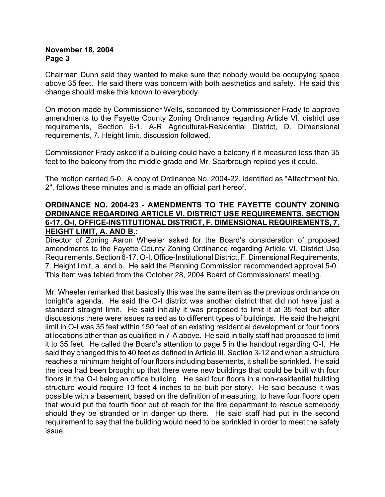Chairman Dunn said they wanted to make sure that nobody would be occupying space above 35 feet. He said there was concern with both aesthetics and safety. He said this change should make this known to everybody.

On motion made by Commissioner Wells, seconded by Commissioner Frady to approve amendments to the Fayette County Zoning Ordinance regarding Article VI. district use requirements, Section 6-1. A-R Agricultural-Residential District, D. Dimensional requirements, 7. Height limit, discussion followed.

Commissioner Frady asked if a building could have a balcony if it measured less than 35 feet to the balcony from the middle grade and Mr. Scarbrough replied yes it could.

The motion carried 5-0. A copy of Ordinance No. 2004-22, identified as "Attachment No. 2", follows these minutes and is made an official part hereof.

### **ORDINANCE NO. 2004-23 - AMENDMENTS TO THE FAYETTE COUNTY ZONING ORDINANCE REGARDING ARTICLE VI. DISTRICT USE REQUIREMENTS, SECTION 6-17. O-I, OFFICE-INSTITUTIONAL DISTRICT, F. DIMENSIONAL REQUIREMENTS, 7. HEIGHT LIMIT, A. AND B.:**

Director of Zoning Aaron Wheeler asked for the Board's consideration of proposed amendments to the Fayette County Zoning Ordinance regarding Article VI. District Use Requirements, Section 6-17. O-I, Office-Institutional District, F. Dimensional Requirements, 7. Height limit, a. and b. He said the Planning Commission recommended approval 5-0. This item was tabled from the October 28, 2004 Board of Commissioners' meeting.

Mr. Wheeler remarked that basically this was the same item as the previous ordinance on tonight's agenda. He said the O-I district was another district that did not have just a standard straight limit. He said initially it was proposed to limit it at 35 feet but after discussions there were issues raised as to different types of buildings. He said the height limit in O-I was 35 feet within 150 feet of an existing residential development or four floors at locations other than as qualified in 7-A above. He said initially staff had proposed to limit it to 35 feet. He called the Board's attention to page 5 in the handout regarding O-I. He said they changed this to 40 feet as defined in Article III, Section 3-12 and when a structure reaches a minimum height of four floors including basements, it shall be sprinkled. He said the idea had been brought up that there were new buildings that could be built with four floors in the O-I being an office building. He said four floors in a non-residential building structure would require 13 feet 4 inches to be built per story. He said because it was possible with a basement, based on the definition of measuring, to have four floors open that would put the fourth floor out of reach for the fire department to rescue somebody should they be stranded or in danger up there. He said staff had put in the second requirement to say that the building would need to be sprinkled in order to meet the safety issue.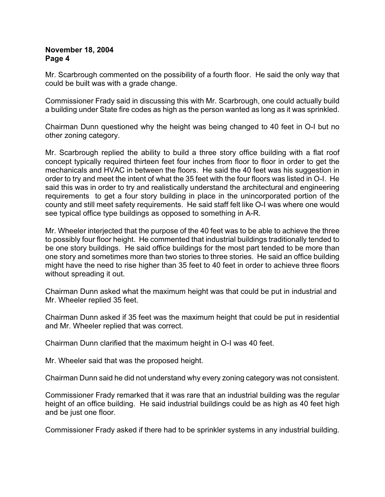Mr. Scarbrough commented on the possibility of a fourth floor. He said the only way that could be built was with a grade change.

Commissioner Frady said in discussing this with Mr. Scarbrough, one could actually build a building under State fire codes as high as the person wanted as long as it was sprinkled.

Chairman Dunn questioned why the height was being changed to 40 feet in O-I but no other zoning category.

Mr. Scarbrough replied the ability to build a three story office building with a flat roof concept typically required thirteen feet four inches from floor to floor in order to get the mechanicals and HVAC in between the floors. He said the 40 feet was his suggestion in order to try and meet the intent of what the 35 feet with the four floors was listed in O-I. He said this was in order to try and realistically understand the architectural and engineering requirements to get a four story building in place in the unincorporated portion of the county and still meet safety requirements. He said staff felt like O-I was where one would see typical office type buildings as opposed to something in A-R.

Mr. Wheeler interjected that the purpose of the 40 feet was to be able to achieve the three to possibly four floor height. He commented that industrial buildings traditionally tended to be one story buildings. He said office buildings for the most part tended to be more than one story and sometimes more than two stories to three stories. He said an office building might have the need to rise higher than 35 feet to 40 feet in order to achieve three floors without spreading it out.

Chairman Dunn asked what the maximum height was that could be put in industrial and Mr. Wheeler replied 35 feet.

Chairman Dunn asked if 35 feet was the maximum height that could be put in residential and Mr. Wheeler replied that was correct.

Chairman Dunn clarified that the maximum height in O-I was 40 feet.

Mr. Wheeler said that was the proposed height.

Chairman Dunn said he did not understand why every zoning category was not consistent.

Commissioner Frady remarked that it was rare that an industrial building was the regular height of an office building. He said industrial buildings could be as high as 40 feet high and be just one floor.

Commissioner Frady asked if there had to be sprinkler systems in any industrial building.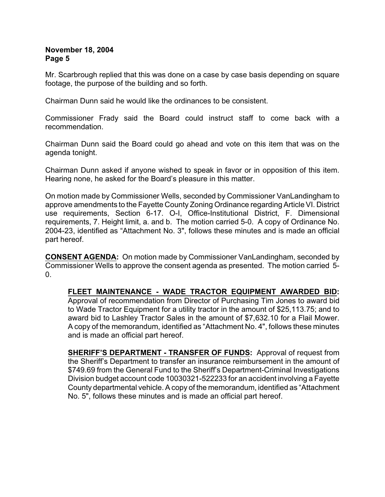Mr. Scarbrough replied that this was done on a case by case basis depending on square footage, the purpose of the building and so forth.

Chairman Dunn said he would like the ordinances to be consistent.

Commissioner Frady said the Board could instruct staff to come back with a recommendation.

Chairman Dunn said the Board could go ahead and vote on this item that was on the agenda tonight.

Chairman Dunn asked if anyone wished to speak in favor or in opposition of this item. Hearing none, he asked for the Board's pleasure in this matter.

On motion made by Commissioner Wells, seconded by Commissioner VanLandingham to approve amendments to the Fayette County Zoning Ordinance regarding Article VI. District use requirements, Section 6-17. O-I, Office-Institutional District, F. Dimensional requirements, 7. Height limit, a. and b. The motion carried 5-0. A copy of Ordinance No. 2004-23, identified as "Attachment No. 3", follows these minutes and is made an official part hereof.

**CONSENT AGENDA:** On motion made by Commissioner VanLandingham, seconded by Commissioner Wells to approve the consent agenda as presented. The motion carried 5- 0.

**FLEET MAINTENANCE - WADE TRACTOR EQUIPMENT AWARDED BID:** Approval of recommendation from Director of Purchasing Tim Jones to award bid to Wade Tractor Equipment for a utility tractor in the amount of \$25,113.75; and to award bid to Lashley Tractor Sales in the amount of \$7,632.10 for a Flail Mower. A copy of the memorandum, identified as "Attachment No. 4", follows these minutes and is made an official part hereof.

**SHERIFF'S DEPARTMENT - TRANSFER OF FUNDS:** Approval of request from the Sheriff's Department to transfer an insurance reimbursement in the amount of \$749.69 from the General Fund to the Sheriff's Department-Criminal Investigations Division budget account code 10030321-522233 for an accident involving a Fayette County departmental vehicle. A copy of the memorandum, identified as "Attachment No. 5", follows these minutes and is made an official part hereof.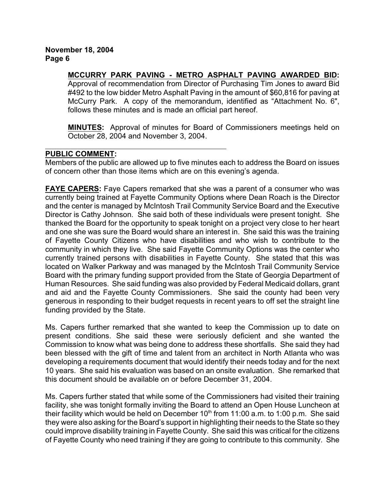# **MCCURRY PARK PAVING - METRO ASPHALT PAVING AWARDED BID:**

Approval of recommendation from Director of Purchasing Tim Jones to award Bid #492 to the low bidder Metro Asphalt Paving in the amount of \$60,816 for paving at McCurry Park. A copy of the memorandum, identified as "Attachment No. 6", follows these minutes and is made an official part hereof.

**MINUTES:** Approval of minutes for Board of Commissioners meetings held on October 28, 2004 and November 3, 2004.

# **PUBLIC COMMENT:**

Members of the public are allowed up to five minutes each to address the Board on issues of concern other than those items which are on this evening's agenda.

**FAYE CAPERS:** Faye Capers remarked that she was a parent of a consumer who was currently being trained at Fayette Community Options where Dean Roach is the Director and the center is managed by McIntosh Trail Community Service Board and the Executive Director is Cathy Johnson. She said both of these individuals were present tonight. She thanked the Board for the opportunity to speak tonight on a project very close to her heart and one she was sure the Board would share an interest in. She said this was the training of Fayette County Citizens who have disabilities and who wish to contribute to the community in which they live. She said Fayette Community Options was the center who currently trained persons with disabilities in Fayette County. She stated that this was located on Walker Parkway and was managed by the McIntosh Trail Community Service Board with the primary funding support provided from the State of Georgia Department of Human Resources. She said funding was also provided by Federal Medicaid dollars, grant and aid and the Fayette County Commissioners. She said the county had been very generous in responding to their budget requests in recent years to off set the straight line funding provided by the State.

Ms. Capers further remarked that she wanted to keep the Commission up to date on present conditions. She said these were seriously deficient and she wanted the Commission to know what was being done to address these shortfalls. She said they had been blessed with the gift of time and talent from an architect in North Atlanta who was developing a requirements document that would identify their needs today and for the next 10 years. She said his evaluation was based on an onsite evaluation. She remarked that this document should be available on or before December 31, 2004.

Ms. Capers further stated that while some of the Commissioners had visited their training facility, she was tonight formally inviting the Board to attend an Open House Luncheon at their facility which would be held on December  $10<sup>th</sup>$  from 11:00 a.m. to 1:00 p.m. She said they were also asking for the Board's support in highlighting their needs to the State so they could improve disability training in Fayette County. She said this was critical for the citizens of Fayette County who need training if they are going to contribute to this community. She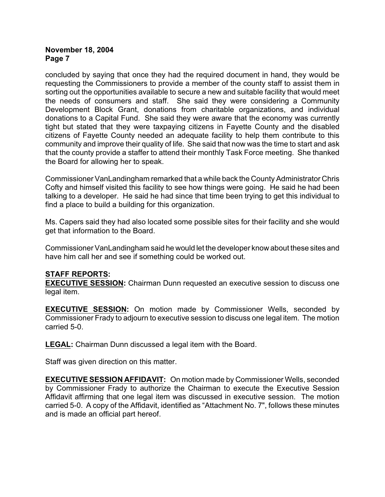concluded by saying that once they had the required document in hand, they would be requesting the Commissioners to provide a member of the county staff to assist them in sorting out the opportunities available to secure a new and suitable facility that would meet the needs of consumers and staff. She said they were considering a Community Development Block Grant, donations from charitable organizations, and individual donations to a Capital Fund. She said they were aware that the economy was currently tight but stated that they were taxpaying citizens in Fayette County and the disabled citizens of Fayette County needed an adequate facility to help them contribute to this community and improve their quality of life. She said that now was the time to start and ask that the county provide a staffer to attend their monthly Task Force meeting. She thanked the Board for allowing her to speak.

Commissioner VanLandingham remarked that a while back the County Administrator Chris Cofty and himself visited this facility to see how things were going. He said he had been talking to a developer. He said he had since that time been trying to get this individual to find a place to build a building for this organization.

Ms. Capers said they had also located some possible sites for their facility and she would get that information to the Board.

Commissioner VanLandingham said he would let the developer know about these sites and have him call her and see if something could be worked out.

### **STAFF REPORTS:**

**EXECUTIVE SESSION:** Chairman Dunn requested an executive session to discuss one legal item.

**EXECUTIVE SESSION:** On motion made by Commissioner Wells, seconded by Commissioner Frady to adjourn to executive session to discuss one legal item. The motion carried 5-0.

**LEGAL:** Chairman Dunn discussed a legal item with the Board.

Staff was given direction on this matter.

**EXECUTIVE SESSION AFFIDAVIT:** On motion made by Commissioner Wells, seconded by Commissioner Frady to authorize the Chairman to execute the Executive Session Affidavit affirming that one legal item was discussed in executive session. The motion carried 5-0. A copy of the Affidavit, identified as "Attachment No. 7", follows these minutes and is made an official part hereof.